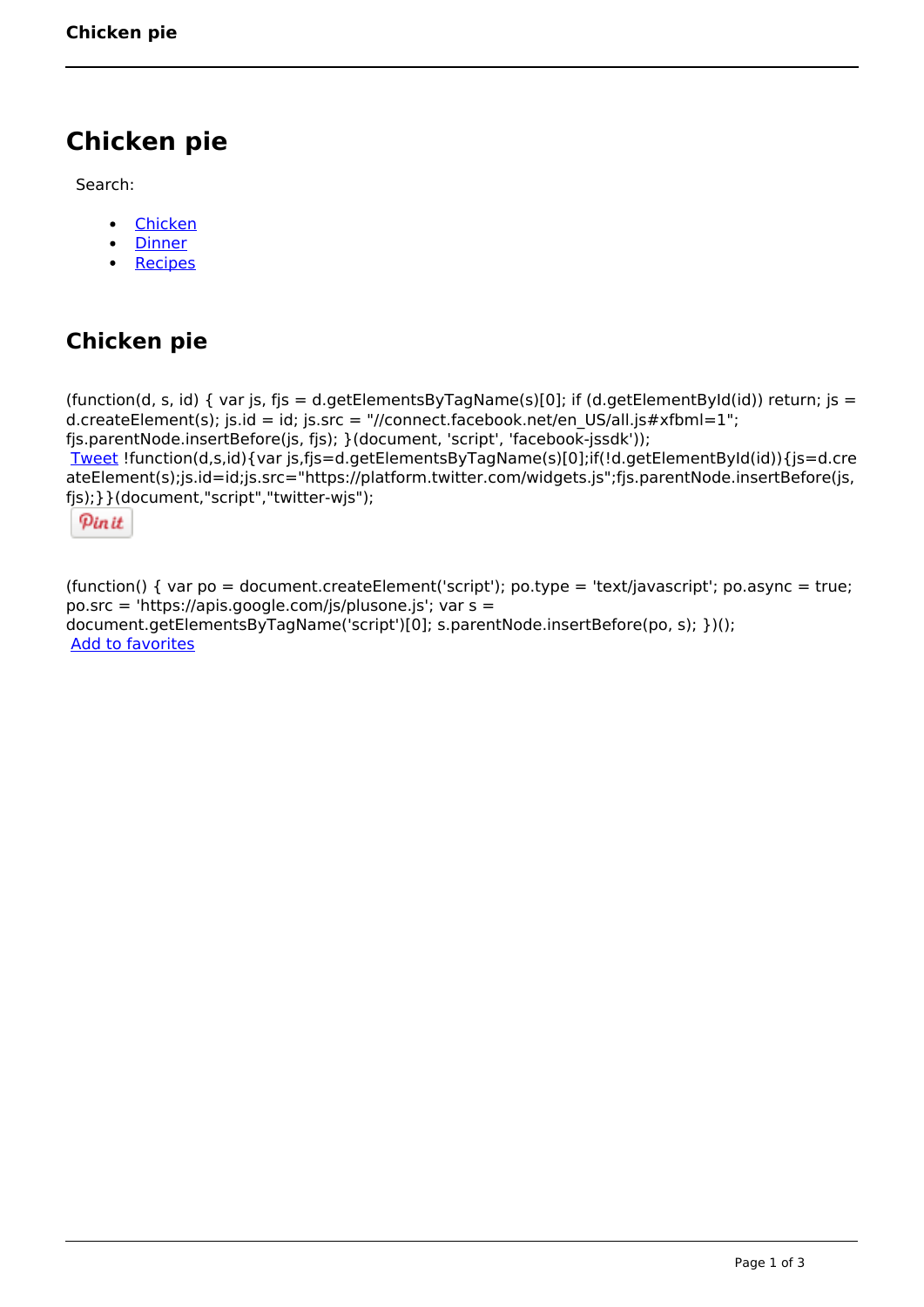# **Chicken pie**

Search:

- [Chicken](https://www.naturalhealthmag.com.au/nourish/chicken)  $\bullet$
- **[Dinner](https://www.naturalhealthmag.com.au/nourish/dinner-ideas)**  $\bullet$
- $\bullet$ **[Recipes](https://www.naturalhealthmag.com.au/nourish/recipes)**

## **Chicken pie**

```
(function(d, s, id) { var js, fjs = d.getElementsByTagName(s)[0]; if (d.getElementById(id)) return; js =
d.createElement(s); js.id = id; js.src = "//connect.facebook.net/en_US/all.js#xfbml=1";
fjs.parentNode.insertBefore(js, fjs); }(document, 'script', 'facebook-jssdk')); 
Tweet !function(d,s,id){var js,fjs=d.getElementsByTagName(s)[0];if(!d.getElementById(id)){js=d.cre
ateElement(s);js.id=id;js.src="https://platform.twitter.com/widgets.js";fjs.parentNode.insertBefore(js,
fjs);}}(document,"script","twitter-wjs"); 
 Pin it
```
(function() { var po = document.createElement('script'); po.type = 'text/javascript'; po.async = true; po.src = 'https://apis.google.com/js/plusone.js'; var s = document.getElementsByTagName('script')[0]; s.parentNode.insertBefore(po, s); })(); Add to favorites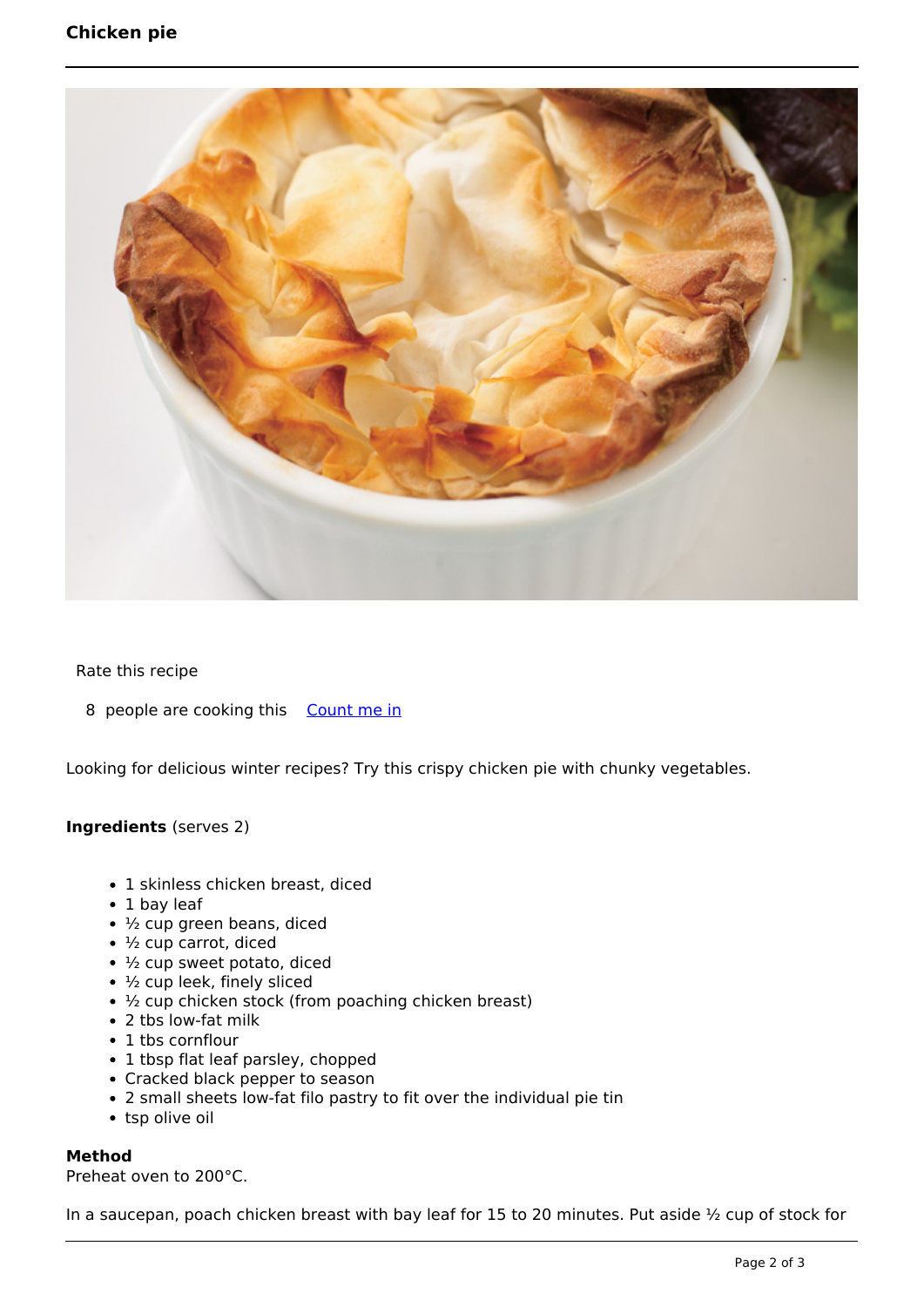### **Chicken pie**



#### Rate this recipe

8 people are cooking this [Count me in](https://www.naturalhealthmag.com.au/flag/flag/favorites/495?destination=printpdf%2F495&token=65780fbbe64507e43d89d0ae1400c071)

Looking for delicious winter recipes? Try this crispy chicken pie with chunky vegetables.

#### **Ingredients** (serves 2)

- 1 skinless chicken breast, diced
- 1 bay leaf
- $\cdot$   $\frac{1}{2}$  cup green beans, diced
- ½ cup carrot, diced
- $\cdot$   $\frac{1}{2}$  cup sweet potato, diced
- $\cdot$   $\frac{1}{2}$  cup leek, finely sliced
- 1/2 cup chicken stock (from poaching chicken breast)
- 2 tbs low-fat milk
- 1 tbs cornflour
- 1 tbsp flat leaf parsley, chopped
- Cracked black pepper to season
- 2 small sheets low-fat filo pastry to fit over the individual pie tin
- tsp olive oil

#### **Method**

Preheat oven to 200°C.

In a saucepan, poach chicken breast with bay leaf for 15 to 20 minutes. Put aside ½ cup of stock for